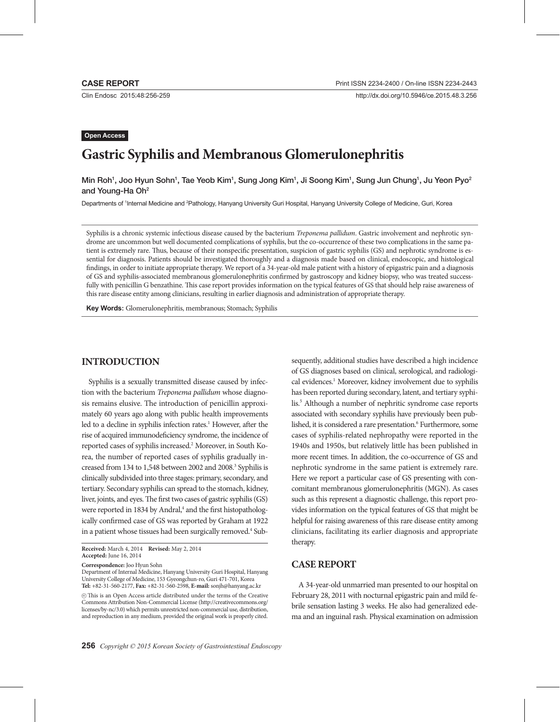**Open Access**

Clin Endosc 2015;48:256-259

http://dx.doi.org/10.5946/ce.2015.48.3.256

# **Gastric Syphilis and Membranous Glomerulonephritis**

Min Roh<sup>1</sup>, Joo Hyun Sohn<sup>1</sup>, Tae Yeob Kim<sup>1</sup>, Sung Jong Kim<sup>1</sup>, Ji Soong Kim<sup>1</sup>, Sung Jun Chung<sup>1</sup>, Ju Yeon Pyo<sup>2</sup> and Young-Ha Oh<sup>2</sup>

Departments of 1Internal Medicine and <sup>2</sup>Pathology, Hanyang University Guri Hospital, Hanyang University College of Medicine, Guri, Korea

Syphilis is a chronic systemic infectious disease caused by the bacterium *Treponema pallidum*. Gastric involvement and nephrotic syndrome are uncommon but well documented complications of syphilis, but the co-occurrence of these two complications in the same patient is extremely rare. Thus, because of their nonspecific presentation, suspicion of gastric syphilis (GS) and nephrotic syndrome is essential for diagnosis. Patients should be investigated thoroughly and a diagnosis made based on clinical, endoscopic, and histological findings, in order to initiate appropriate therapy. We report of a 34-year-old male patient with a history of epigastric pain and a diagnosis of GS and syphilis-associated membranous glomerulonephritis confirmed by gastroscopy and kidney biopsy, who was treated successfully with penicillin G benzathine. This case report provides information on the typical features of GS that should help raise awareness of this rare disease entity among clinicians, resulting in earlier diagnosis and administration of appropriate therapy.

**Key Words:** Glomerulonephritis, membranous; Stomach; Syphilis

## **INTRODUCTION**

Syphilis is a sexually transmitted disease caused by infection with the bacterium *Treponema pallidum* whose diagnosis remains elusive. The introduction of penicillin approximately 60 years ago along with public health improvements led to a decline in syphilis infection rates.<sup>1</sup> However, after the rise of acquired immunodeficiency syndrome, the incidence of reported cases of syphilis increased.<sup>2</sup> Moreover, in South Korea, the number of reported cases of syphilis gradually increased from 134 to 1,548 between 2002 and 2008.<sup>3</sup> Syphilis is clinically subdivided into three stages: primary, secondary, and tertiary. Secondary syphilis can spread to the stomach, kidney, liver, joints, and eyes. The first two cases of gastric syphilis (GS) were reported in 1834 by Andral,<sup>4</sup> and the first histopathologically confirmed case of GS was reported by Graham at 1922 in a patient whose tissues had been surgically removed.<sup>4</sup> Sub-

**Correspondence:** Joo Hyun Sohn

Department of Internal Medicine, Hanyang University Guri Hospital, Hanyang University College of Medicine, 153 Gyeongchun-ro, Guri 471-701, Korea **Tel:** +82-31-560-2177, **Fax:** +82-31-560-2598, **E-mail:** sonjh@hanyang.ac.kr

sequently, additional studies have described a high incidence of GS diagnoses based on clinical, serological, and radiological evidences.<sup>1</sup> Moreover, kidney involvement due to syphilis has been reported during secondary, latent, and tertiary syphilis.5 Although a number of nephritic syndrome case reports associated with secondary syphilis have previously been published, it is considered a rare presentation.<sup>6</sup> Furthermore, some cases of syphilis-related nephropathy were reported in the 1940s and 1950s, but relatively little has been published in more recent times. In addition, the co-occurrence of GS and nephrotic syndrome in the same patient is extremely rare. Here we report a particular case of GS presenting with concomitant membranous glomerulonephritis (MGN). As cases such as this represent a diagnostic challenge, this report provides information on the typical features of GS that might be helpful for raising awareness of this rare disease entity among clinicians, facilitating its earlier diagnosis and appropriate therapy.

## **CASE REPORT**

A 34-year-old unmarried man presented to our hospital on February 28, 2011 with nocturnal epigastric pain and mild febrile sensation lasting 3 weeks. He also had generalized edema and an inguinal rash. Physical examination on admission

**Received:** March 4, 2014 **Revised:** May 2, 2014 **Accepted:** June 16, 2014

cc This is an Open Access article distributed under the terms of the Creative Commons Attribution Non-Commercial License (http://creativecommons.org/ licenses/by-nc/3.0) which permits unrestricted non-commercial use, distribution, and reproduction in any medium, provided the original work is properly cited.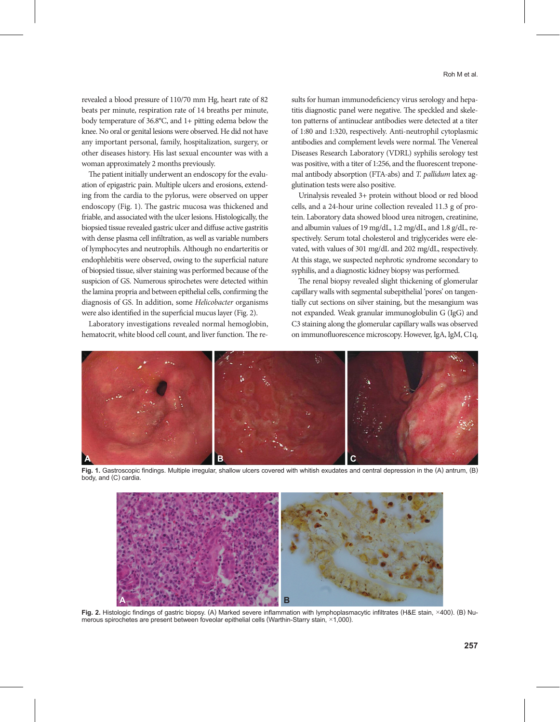revealed a blood pressure of 110/70 mm Hg, heart rate of 82 beats per minute, respiration rate of 14 breaths per minute, body temperature of 36.8°C, and 1+ pitting edema below the

knee. No oral or genital lesions were observed. He did not have any important personal, family, hospitalization, surgery, or other diseases history. His last sexual encounter was with a woman approximately 2 months previously.

The patient initially underwent an endoscopy for the evaluation of epigastric pain. Multiple ulcers and erosions, extending from the cardia to the pylorus, were observed on upper endoscopy (Fig. 1). The gastric mucosa was thickened and friable, and associated with the ulcer lesions. Histologically, the biopsied tissue revealed gastric ulcer and diffuse active gastritis with dense plasma cell infiltration, as well as variable numbers of lymphocytes and neutrophils. Although no endarteritis or endophlebitis were observed, owing to the superficial nature of biopsied tissue, silver staining was performed because of the suspicion of GS. Numerous spirochetes were detected within the lamina propria and between epithelial cells, confirming the diagnosis of GS. In addition, some *Helicobacter* organisms were also identified in the superficial mucus layer (Fig. 2).

Laboratory investigations revealed normal hemoglobin, hematocrit, white blood cell count, and liver function. The results for human immunodeficiency virus serology and hepatitis diagnostic panel were negative. The speckled and skeleton patterns of antinuclear antibodies were detected at a titer of 1:80 and 1:320, respectively. Anti-neutrophil cytoplasmic antibodies and complement levels were normal. The Venereal Diseases Research Laboratory (VDRL) syphilis serology test was positive, with a titer of 1:256, and the fluorescent treponemal antibody absorption (FTA-abs) and *T. pallidum* latex agglutination tests were also positive.

Urinalysis revealed 3+ protein without blood or red blood cells, and a 24-hour urine collection revealed 11.3 g of protein. Laboratory data showed blood urea nitrogen, creatinine, and albumin values of 19 mg/dL, 1.2 mg/dL, and 1.8 g/dL, respectively. Serum total cholesterol and triglycerides were elevated, with values of 301 mg/dL and 202 mg/dL, respectively. At this stage, we suspected nephrotic syndrome secondary to syphilis, and a diagnostic kidney biopsy was performed.

The renal biopsy revealed slight thickening of glomerular capillary walls with segmental subepithelial 'pores' on tangentially cut sections on silver staining, but the mesangium was not expanded. Weak granular immunoglobulin G (IgG) and C3 staining along the glomerular capillary walls was observed on immunofluorescence microscopy. However, IgA, IgM, C1q,



**Fig. 1.** Gastroscopic findings. Multiple irregular, shallow ulcers covered with whitish exudates and central depression in the (A) antrum, (B) body, and (C) cardia.



**Fig. 2.** Histologic findings of gastric biopsy. (A) Marked severe inflammation with lymphoplasmacytic infiltrates (H&E stain, ×400). (B) Numerous spirochetes are present between foveolar epithelial cells (Warthin-Starry stain, ×1,000).

**257**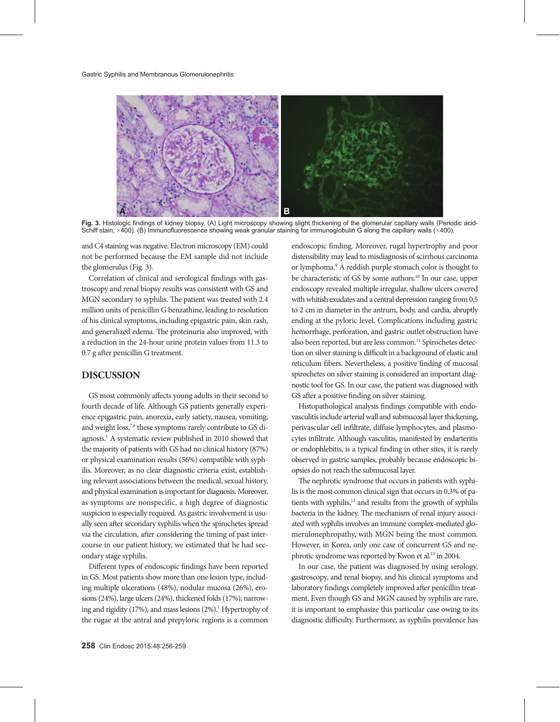

**Fig. 3.** Histologic findings of kidney biopsy. (A) Light microscopy showing slight thickening of the glomerular capillary walls (Periodic acid-Schiff stain, ×400). (B) Immunofluorescence showing weak granular staining for immunoglobulin G along the capillary walls (×400).

and C4 staining was negative. Electron microscopy (EM) could not be performed because the EM sample did not include the glomerulus (Fig. 3).

Correlation of clinical and serological findings with gastroscopy and renal biopsy results was consistent with GS and MGN secondary to syphilis. The patient was treated with 2.4 million units of penicillin G benzathine, leading to resolution of his clinical symptoms, including epigastric pain, skin rash, and generalized edema. The proteinuria also improved, with a reduction in the 24-hour urine protein values from 11.3 to 0.7 g after penicillin G treatment.

# **DISCUSSION**

GS most commonly affects young adults in their second to fourth decade of life. Although GS patients generally experience epigastric pain, anorexia, early satiety, nausea, vomiting, and weight loss,<sup>7,8</sup> these symptoms rarely contribute to GS diagnosis.<sup>1</sup> A systematic review published in 2010 showed that the majority of patients with GS had no clinical history (87%) or physical examination results (56%) compatible with syphilis. Moreover, as no clear diagnostic criteria exist, establishing relevant associations between the medical, sexual history, and physical examination is important for diagnosis. Moreover, as symptoms are nonspecific, a high degree of diagnostic suspicion is especially required. As gastric involvement is usually seen after secondary syphilis when the spirochetes spread via the circulation, after considering the timing of past intercourse in our patient history, we estimated that he had secondary stage syphilis.

Different types of endoscopic findings have been reported in GS. Most patients show more than one lesion type, including multiple ulcerations (48%), nodular mucosa (26%), erosions (24%), large ulcers (24%), thickened folds (17%), narrowing and rigidity (17%), and mass lesions (2%).<sup>1</sup> Hypertrophy of the rugae at the antral and prepyloric regions is a common

endoscopic finding. Moreover, rugal hypertrophy and poor distensibility may lead to misdiagnosis of scirrhous carcinoma or lymphoma.<sup>9</sup> A reddish purple stomach color is thought to be characteristic of GS by some authors.<sup>10</sup> In our case, upper endoscopy revealed multiple irregular, shallow ulcers covered with whitish exudates and a central depression ranging from 0.5 to 2 cm in diameter in the antrum, body, and cardia, abruptly ending at the pyloric level. Complications including gastric hemorrhage, perforation, and gastric outlet obstruction have also been reported, but are less common.<sup>11</sup> Spirochetes detection on silver staining is difficult in a background of elastic and reticulum fibers. Nevertheless, a positive finding of mucosal spirochetes on silver staining is considered an important diagnostic tool for GS. In our case, the patient was diagnosed with GS after a positive finding on silver staining. Histopathological analysis findings compatible with endo-

vasculitis include arterial wall and submucosal layer thickening, perivascular cell infiltrate, diffuse lymphocytes, and plasmocytes infiltrate. Although vasculitis, manifested by endarteritis or endophlebitis, is a typical finding in other sites, it is rarely observed in gastric samples, probably because endoscopic biopsies do not reach the submucosal layer.

The nephrotic syndrome that occurs in patients with syphilis is the most common clinical sign that occurs in 0.3% of patients with syphilis,<sup>12</sup> and results from the growth of syphilis bacteria in the kidney. The mechanism of renal injury associated with syphilis involves an immune complex-mediated glomerulonephropathy, with MGN being the most common. However, in Korea, only one case of concurrent GS and nephrotic syndrome was reported by Kwon et al.<sup>13</sup> in 2004.

In our case, the patient was diagnosed by using serology, gastroscopy, and renal biopsy, and his clinical symptoms and laboratory findings completely improved after penicillin treatment. Even though GS and MGN caused by syphilis are rare, it is important to emphasize this particular case owing to its diagnostic difficulty. Furthermore, as syphilis prevalence has